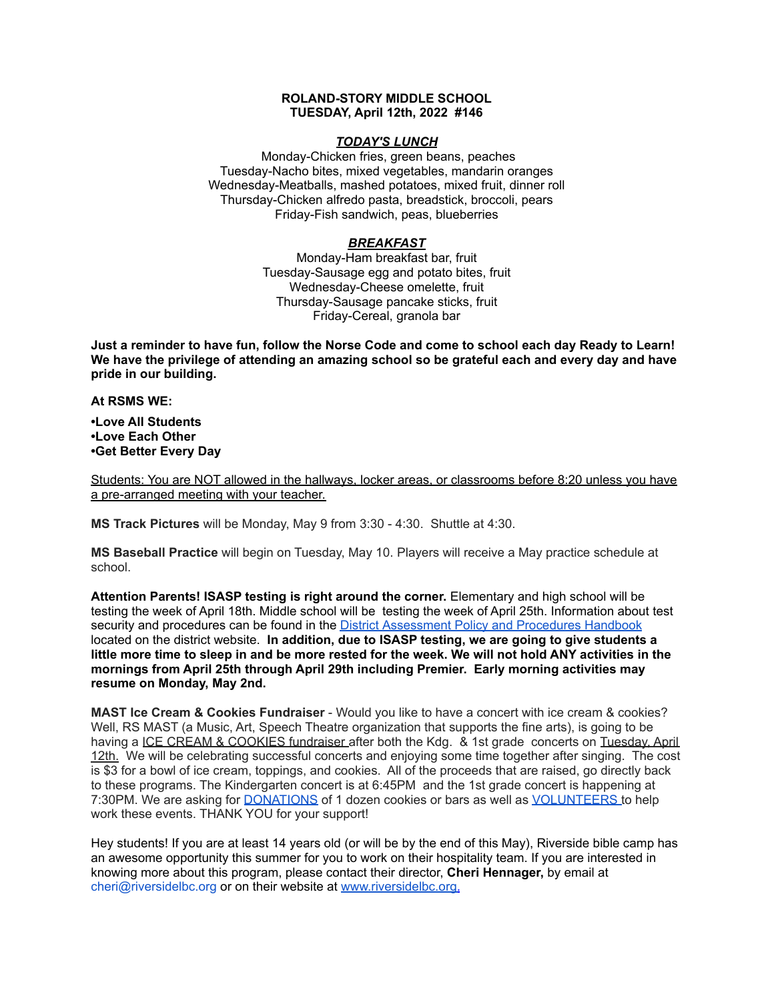### **ROLAND-STORY MIDDLE SCHOOL TUESDAY, April 12th, 2022 #146**

#### *TODAY'S LUNCH*

Monday-Chicken fries, green beans, peaches Tuesday-Nacho bites, mixed vegetables, mandarin oranges Wednesday-Meatballs, mashed potatoes, mixed fruit, dinner roll Thursday-Chicken alfredo pasta, breadstick, broccoli, pears Friday-Fish sandwich, peas, blueberries

# *BREAKFAST*

Monday-Ham breakfast bar, fruit Tuesday-Sausage egg and potato bites, fruit Wednesday-Cheese omelette, fruit Thursday-Sausage pancake sticks, fruit Friday-Cereal, granola bar

Just a reminder to have fun, follow the Norse Code and come to school each day Ready to Learn! **We have the privilege of attending an amazing school so be grateful each and every day and have pride in our building.**

**At RSMS WE:**

**•Love All Students •Love Each Other •Get Better Every Day**

Students: You are NOT allowed in the hallways, locker areas, or classrooms before 8:20 unless you have a pre-arranged meeting with your teacher.

**MS Track Pictures** will be Monday, May 9 from 3:30 - 4:30. Shuttle at 4:30.

**MS Baseball Practice** will begin on Tuesday, May 10. Players will receive a May practice schedule at school.

**Attention Parents! ISASP testing is right around the corner.** Elementary and high school will be testing the week of April 18th. Middle school will be testing the week of April 25th. Information about test security and procedures can be found in the District [Assessment](https://rolandstory.school/media/Michelle%20Soderstrum/RSCSD_District_Assessment_Poli%20-%20Copy%203.pdf) Policy and Procedures Handbook located on the district website. **In addition, due to ISASP testing, we are going to give students a** little more time to sleep in and be more rested for the week. We will not hold ANY activities in the **mornings from April 25th through April 29th including Premier. Early morning activities may resume on Monday, May 2nd.**

**MAST Ice Cream & Cookies Fundraiser** - Would you like to have a concert with ice cream & cookies? Well, RS MAST (a Music, Art, Speech Theatre organization that supports the fine arts), is going to be having a ICE CREAM & COOKIES fundraiser after both the Kdg. & 1st grade concerts on Tuesday. April 12th. We will be celebrating successful concerts and enjoying some time together after singing. The cost is \$3 for a bowl of ice cream, toppings, and cookies. All of the proceeds that are raised, go directly back to these programs. The Kindergarten concert is at 6:45PM and the 1st grade concert is happening at 7:30PM. We are asking for **[DONATIONS](https://www.signupgenius.com/go/4090C45ACAC2BA31-kdg)** of 1 dozen cookies or bars as well as **[VOLUNTEERS](https://www.signupgenius.com/go/4090C45ACAC2BA31-volunteers)** to help work these events. THANK YOU for your support!

Hey students! If you are at least 14 years old (or will be by the end of this May), Riverside bible camp has an awesome opportunity this summer for you to work on their hospitality team. If you are interested in knowing more about this program, please contact their director, **Cheri Hennager,** by email at cheri@riversidelbc.org or on their website at [www.riversidelbc.org.](http://www.riversidelbc.org/)